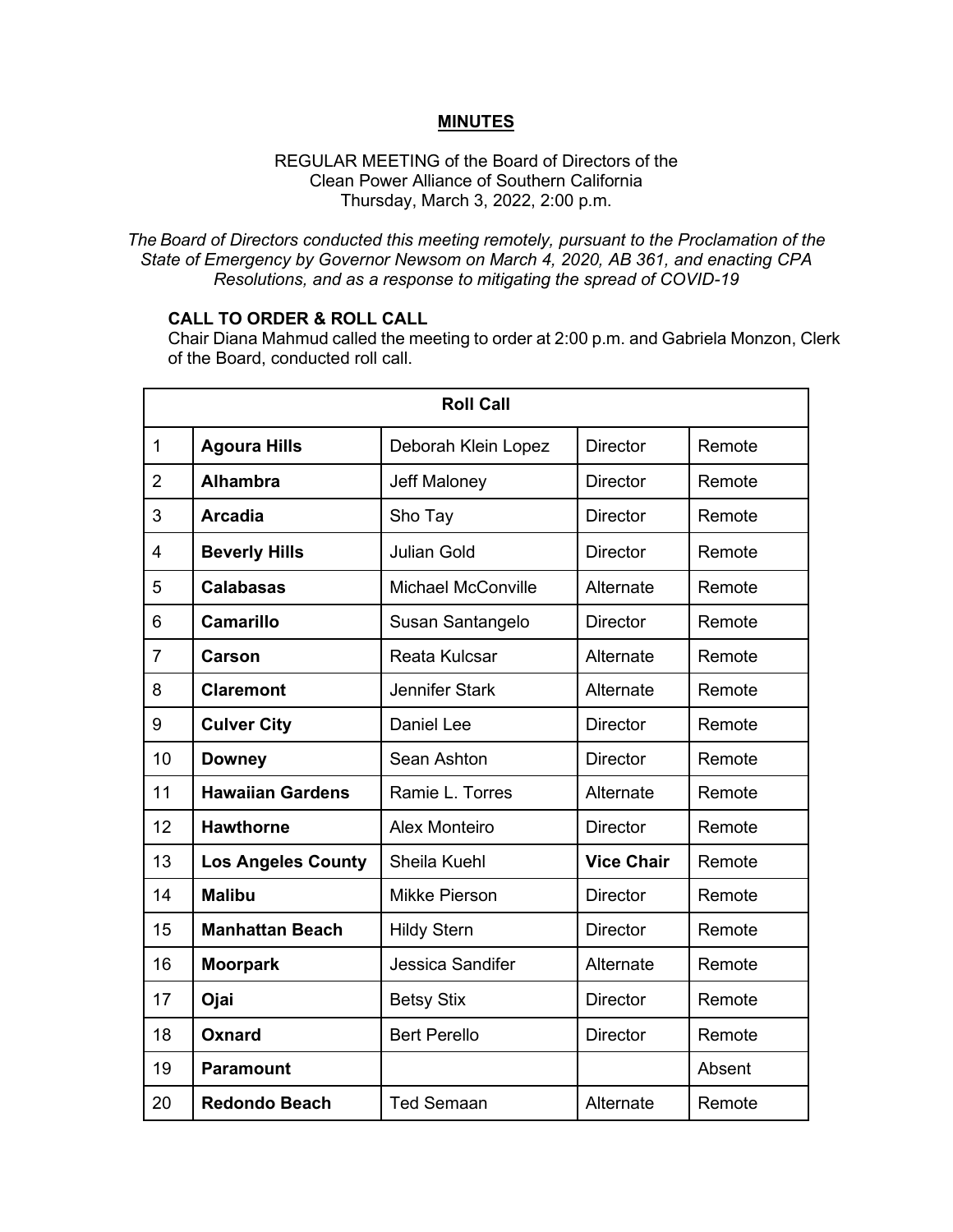## **MINUTES**

#### REGULAR MEETING of the Board of Directors of the Clean Power Alliance of Southern California Thursday, March 3, 2022, 2:00 p.m.

*The Board of Directors conducted this meeting remotely, pursuant to the Proclamation of the State of Emergency by Governor Newsom on March 4, 2020, AB 361, and enacting CPA Resolutions, and as a response to mitigating the spread of COVID-19*

## **CALL TO ORDER & ROLL CALL**

Chair Diana Mahmud called the meeting to order at 2:00 p.m. and Gabriela Monzon, Clerk of the Board, conducted roll call.

| <b>Roll Call</b> |                           |                           |                   |        |  |
|------------------|---------------------------|---------------------------|-------------------|--------|--|
| $\mathbf{1}$     | <b>Agoura Hills</b>       | Deborah Klein Lopez       | <b>Director</b>   | Remote |  |
| $\overline{2}$   | <b>Alhambra</b>           | Jeff Maloney              | <b>Director</b>   | Remote |  |
| 3                | <b>Arcadia</b>            | Sho Tay                   | <b>Director</b>   | Remote |  |
| 4                | <b>Beverly Hills</b>      | <b>Julian Gold</b>        | <b>Director</b>   | Remote |  |
| 5                | <b>Calabasas</b>          | <b>Michael McConville</b> | Alternate         | Remote |  |
| 6                | <b>Camarillo</b>          | Susan Santangelo          | <b>Director</b>   | Remote |  |
| $\overline{7}$   | <b>Carson</b>             | Reata Kulcsar             | Alternate         | Remote |  |
| 8                | <b>Claremont</b>          | <b>Jennifer Stark</b>     | Alternate         | Remote |  |
| 9                | <b>Culver City</b>        | <b>Daniel Lee</b>         | <b>Director</b>   | Remote |  |
| 10               | <b>Downey</b>             | Sean Ashton               | <b>Director</b>   | Remote |  |
| 11               | <b>Hawaiian Gardens</b>   | Ramie L. Torres           | Alternate         | Remote |  |
| 12               | <b>Hawthorne</b>          | <b>Alex Monteiro</b>      | <b>Director</b>   | Remote |  |
| 13               | <b>Los Angeles County</b> | Sheila Kuehl              | <b>Vice Chair</b> | Remote |  |
| 14               | <b>Malibu</b>             | <b>Mikke Pierson</b>      | <b>Director</b>   | Remote |  |
| 15               | <b>Manhattan Beach</b>    | <b>Hildy Stern</b>        | <b>Director</b>   | Remote |  |
| 16               | <b>Moorpark</b>           | Jessica Sandifer          | Alternate         | Remote |  |
| 17               | Ojai                      | <b>Betsy Stix</b>         | <b>Director</b>   | Remote |  |
| 18               | Oxnard                    | <b>Bert Perello</b>       | <b>Director</b>   | Remote |  |
| 19               | <b>Paramount</b>          |                           |                   | Absent |  |
| 20               | <b>Redondo Beach</b>      | <b>Ted Semaan</b>         | Alternate         | Remote |  |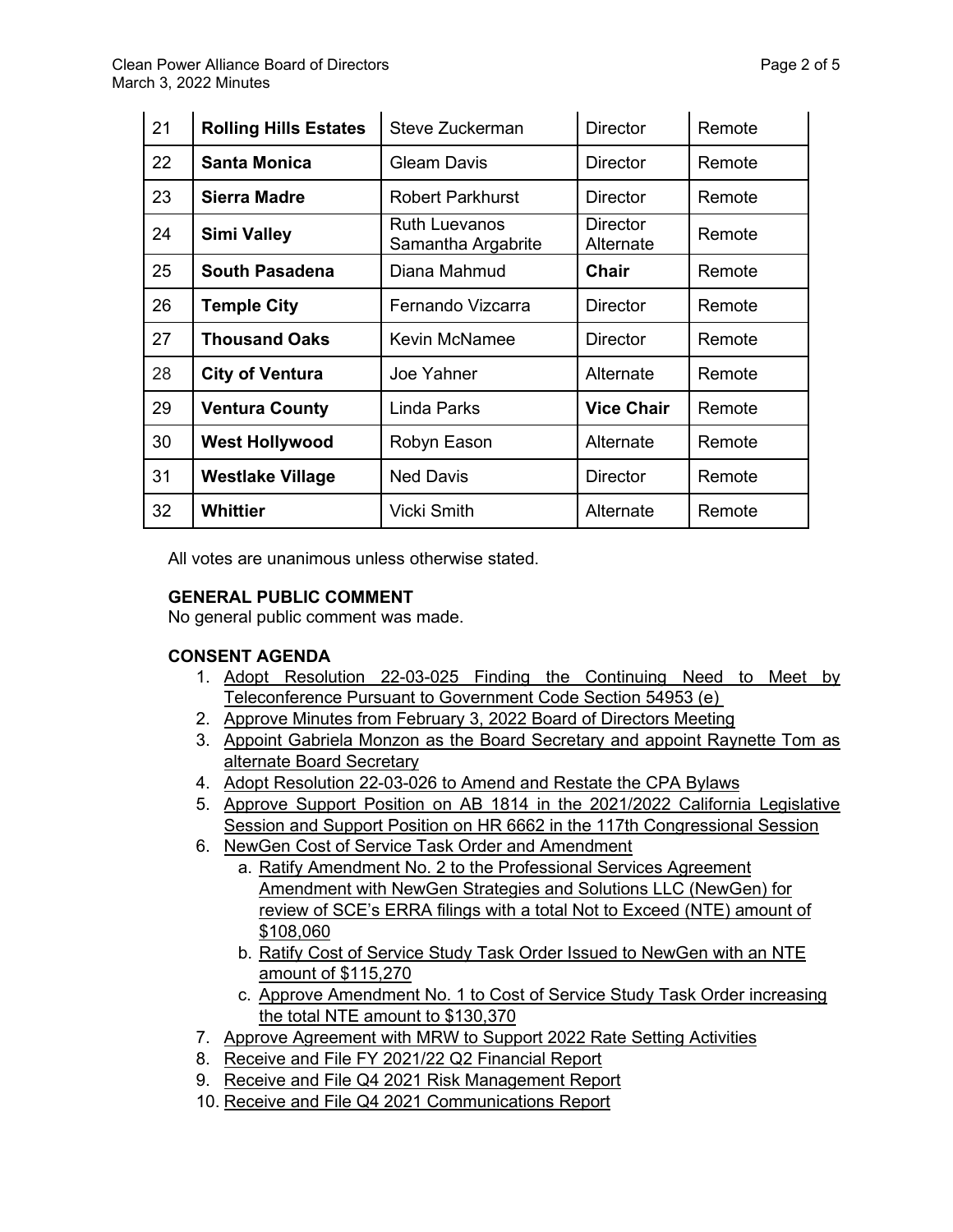| 21 | <b>Rolling Hills Estates</b> | Steve Zuckerman                            | <b>Director</b>              | Remote |
|----|------------------------------|--------------------------------------------|------------------------------|--------|
| 22 | <b>Santa Monica</b>          | <b>Gleam Davis</b>                         | <b>Director</b>              | Remote |
| 23 | <b>Sierra Madre</b>          | <b>Robert Parkhurst</b>                    | Director                     | Remote |
| 24 | <b>Simi Valley</b>           | <b>Ruth Luevanos</b><br>Samantha Argabrite | <b>Director</b><br>Alternate | Remote |
| 25 | <b>South Pasadena</b>        | Diana Mahmud                               | <b>Chair</b>                 | Remote |
| 26 | <b>Temple City</b>           | Fernando Vizcarra                          | Director                     | Remote |
| 27 | <b>Thousand Oaks</b>         | <b>Kevin McNamee</b>                       | <b>Director</b>              | Remote |
| 28 | <b>City of Ventura</b>       | Joe Yahner                                 | Alternate                    | Remote |
| 29 | <b>Ventura County</b>        | Linda Parks                                | <b>Vice Chair</b>            | Remote |
| 30 | <b>West Hollywood</b>        | Robyn Eason                                | Alternate                    | Remote |
| 31 | <b>Westlake Village</b>      | <b>Ned Davis</b>                           | Director                     | Remote |
| 32 | <b>Whittier</b>              | <b>Vicki Smith</b>                         | Alternate                    | Remote |

All votes are unanimous unless otherwise stated.

# **GENERAL PUBLIC COMMENT**

No general public comment was made.

# **CONSENT AGENDA**

- 1. Adopt Resolution 22-03-025 Finding the Continuing Need to Meet by Teleconference Pursuant to Government Code Section 54953 (e)
- 2. Approve Minutes from February 3, 2022 Board of Directors Meeting
- 3. Appoint Gabriela Monzon as the Board Secretary and appoint Raynette Tom as alternate Board Secretary
- 4. Adopt Resolution 22-03-026 to Amend and Restate the CPA Bylaws
- 5. Approve Support Position on AB 1814 in the 2021/2022 California Legislative Session and Support Position on HR 6662 in the 117th Congressional Session
- 6. NewGen Cost of Service Task Order and Amendment
	- a. Ratify Amendment No. 2 to the Professional Services Agreement Amendment with NewGen Strategies and Solutions LLC (NewGen) for review of SCE's ERRA filings with a total Not to Exceed (NTE) amount of \$108,060
	- b. Ratify Cost of Service Study Task Order Issued to NewGen with an NTE amount of \$115,270
	- c. Approve Amendment No. 1 to Cost of Service Study Task Order increasing the total NTE amount to \$130,370
- 7. Approve Agreement with MRW to Support 2022 Rate Setting Activities
- 8. Receive and File FY 2021/22 Q2 Financial Report
- 9. Receive and File Q4 2021 Risk Management Report
- 10. Receive and File Q4 2021 Communications Report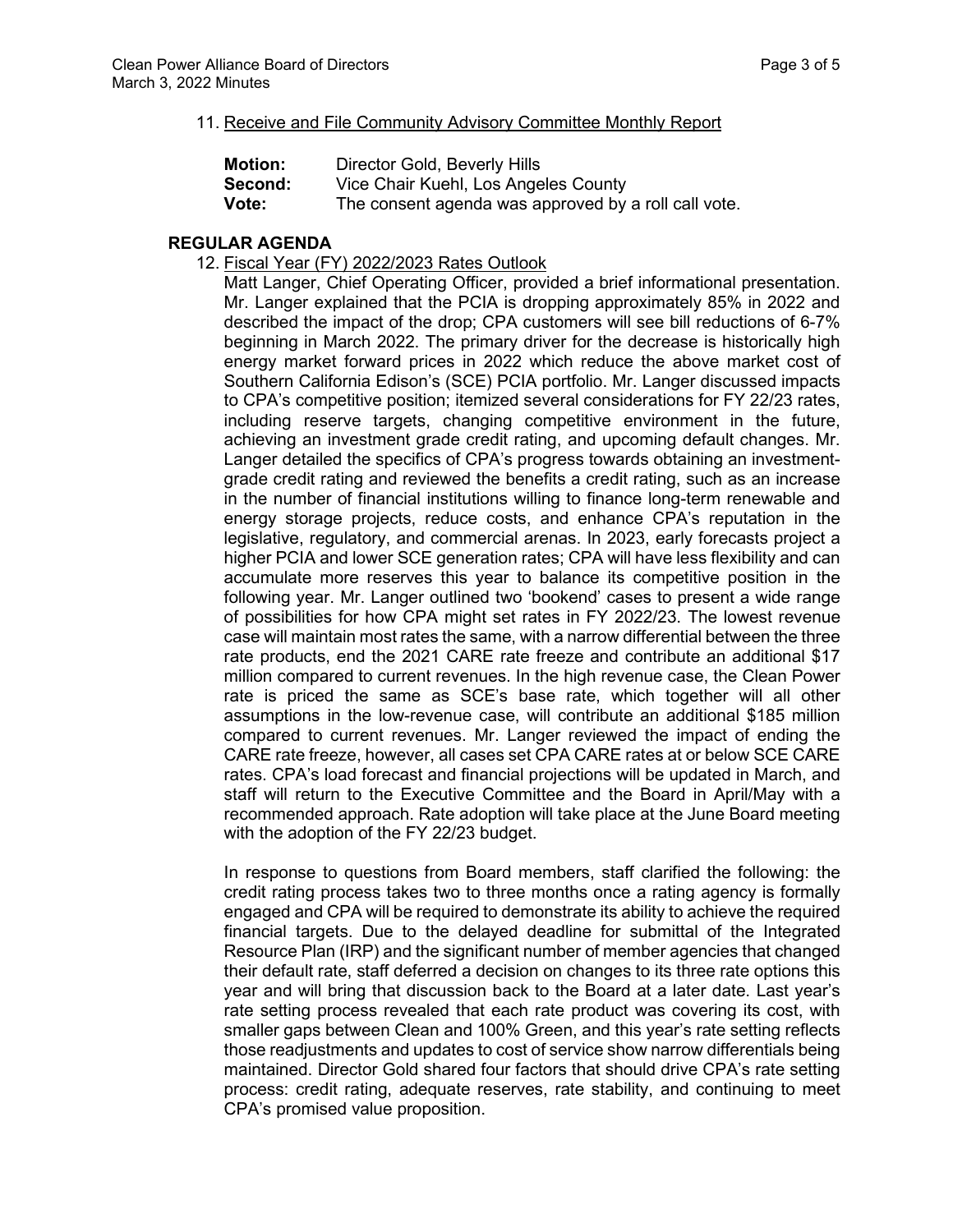#### 11. Receive and File Community Advisory Committee Monthly Report

| <b>Motion:</b> | Director Gold, Beverly Hills                         |
|----------------|------------------------------------------------------|
| Second:        | Vice Chair Kuehl, Los Angeles County                 |
| Vote:          | The consent agenda was approved by a roll call vote. |

#### **REGULAR AGENDA**

12. Fiscal Year (FY) 2022/2023 Rates Outlook

Matt Langer, Chief Operating Officer, provided a brief informational presentation. Mr. Langer explained that the PCIA is dropping approximately 85% in 2022 and described the impact of the drop; CPA customers will see bill reductions of 6-7% beginning in March 2022. The primary driver for the decrease is historically high energy market forward prices in 2022 which reduce the above market cost of Southern California Edison's (SCE) PCIA portfolio. Mr. Langer discussed impacts to CPA's competitive position; itemized several considerations for FY 22/23 rates, including reserve targets, changing competitive environment in the future, achieving an investment grade credit rating, and upcoming default changes. Mr. Langer detailed the specifics of CPA's progress towards obtaining an investmentgrade credit rating and reviewed the benefits a credit rating, such as an increase in the number of financial institutions willing to finance long-term renewable and energy storage projects, reduce costs, and enhance CPA's reputation in the legislative, regulatory, and commercial arenas. In 2023, early forecasts project a higher PCIA and lower SCE generation rates; CPA will have less flexibility and can accumulate more reserves this year to balance its competitive position in the following year. Mr. Langer outlined two 'bookend' cases to present a wide range of possibilities for how CPA might set rates in FY 2022/23. The lowest revenue case will maintain most rates the same, with a narrow differential between the three rate products, end the 2021 CARE rate freeze and contribute an additional \$17 million compared to current revenues. In the high revenue case, the Clean Power rate is priced the same as SCE's base rate, which together will all other assumptions in the low-revenue case, will contribute an additional \$185 million compared to current revenues. Mr. Langer reviewed the impact of ending the CARE rate freeze, however, all cases set CPA CARE rates at or below SCE CARE rates. CPA's load forecast and financial projections will be updated in March, and staff will return to the Executive Committee and the Board in April/May with a recommended approach. Rate adoption will take place at the June Board meeting with the adoption of the FY 22/23 budget.

In response to questions from Board members, staff clarified the following: the credit rating process takes two to three months once a rating agency is formally engaged and CPA will be required to demonstrate its ability to achieve the required financial targets. Due to the delayed deadline for submittal of the Integrated Resource Plan (IRP) and the significant number of member agencies that changed their default rate, staff deferred a decision on changes to its three rate options this year and will bring that discussion back to the Board at a later date. Last year's rate setting process revealed that each rate product was covering its cost, with smaller gaps between Clean and 100% Green, and this year's rate setting reflects those readjustments and updates to cost of service show narrow differentials being maintained. Director Gold shared four factors that should drive CPA's rate setting process: credit rating, adequate reserves, rate stability, and continuing to meet CPA's promised value proposition.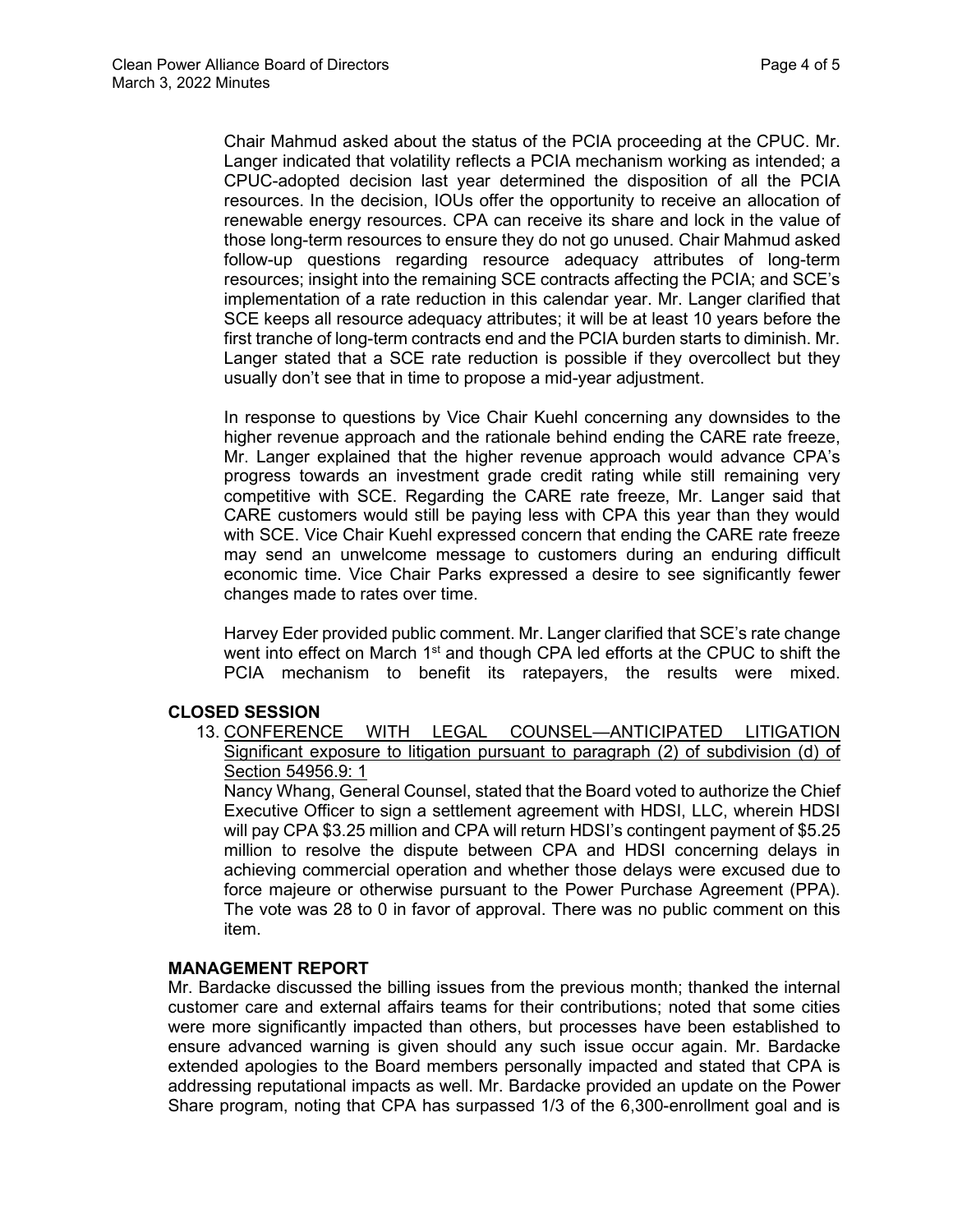Chair Mahmud asked about the status of the PCIA proceeding at the CPUC. Mr. Langer indicated that volatility reflects a PCIA mechanism working as intended; a CPUC-adopted decision last year determined the disposition of all the PCIA resources. In the decision, IOUs offer the opportunity to receive an allocation of renewable energy resources. CPA can receive its share and lock in the value of those long-term resources to ensure they do not go unused. Chair Mahmud asked follow-up questions regarding resource adequacy attributes of long-term resources; insight into the remaining SCE contracts affecting the PCIA; and SCE's implementation of a rate reduction in this calendar year. Mr. Langer clarified that SCE keeps all resource adequacy attributes; it will be at least 10 years before the first tranche of long-term contracts end and the PCIA burden starts to diminish. Mr. Langer stated that a SCE rate reduction is possible if they overcollect but they usually don't see that in time to propose a mid-year adjustment.

In response to questions by Vice Chair Kuehl concerning any downsides to the higher revenue approach and the rationale behind ending the CARE rate freeze, Mr. Langer explained that the higher revenue approach would advance CPA's progress towards an investment grade credit rating while still remaining very competitive with SCE. Regarding the CARE rate freeze, Mr. Langer said that CARE customers would still be paying less with CPA this year than they would with SCE. Vice Chair Kuehl expressed concern that ending the CARE rate freeze may send an unwelcome message to customers during an enduring difficult economic time. Vice Chair Parks expressed a desire to see significantly fewer changes made to rates over time.

Harvey Eder provided public comment. Mr. Langer clarified that SCE's rate change went into effect on March 1<sup>st</sup> and though CPA led efforts at the CPUC to shift the PCIA mechanism to benefit its ratepayers, the results were mixed.

#### **CLOSED SESSION**

13. CONFERENCE WITH LEGAL COUNSEL—ANTICIPATED LITIGATION Significant exposure to litigation pursuant to paragraph (2) of subdivision (d) of Section 54956.9: 1

Nancy Whang, General Counsel, stated that the Board voted to authorize the Chief Executive Officer to sign a settlement agreement with HDSI, LLC, wherein HDSI will pay CPA \$3.25 million and CPA will return HDSI's contingent payment of \$5.25 million to resolve the dispute between CPA and HDSI concerning delays in achieving commercial operation and whether those delays were excused due to force majeure or otherwise pursuant to the Power Purchase Agreement (PPA). The vote was 28 to 0 in favor of approval. There was no public comment on this item.

#### **MANAGEMENT REPORT**

Mr. Bardacke discussed the billing issues from the previous month; thanked the internal customer care and external affairs teams for their contributions; noted that some cities were more significantly impacted than others, but processes have been established to ensure advanced warning is given should any such issue occur again. Mr. Bardacke extended apologies to the Board members personally impacted and stated that CPA is addressing reputational impacts as well. Mr. Bardacke provided an update on the Power Share program, noting that CPA has surpassed 1/3 of the 6,300-enrollment goal and is